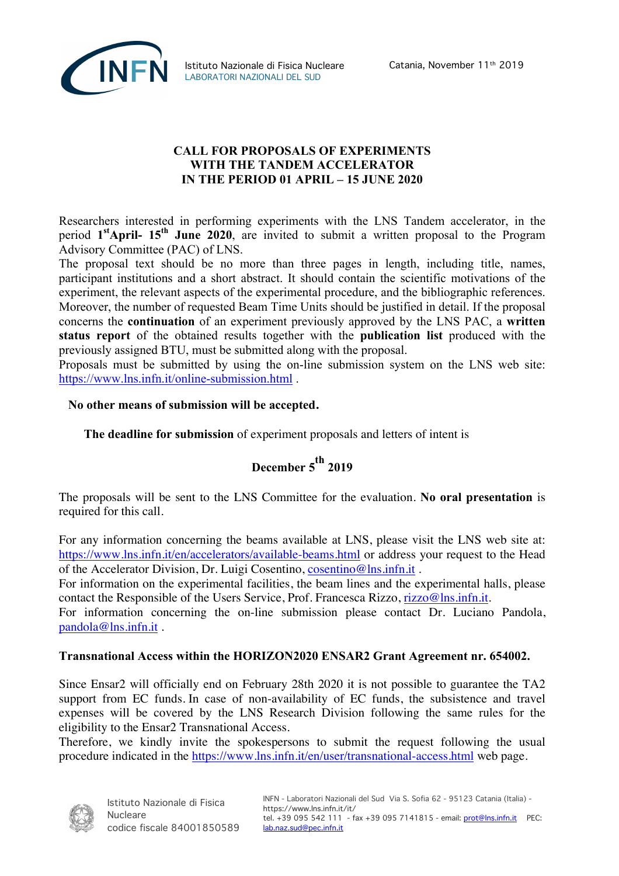

## **CALL FOR PROPOSALS OF EXPERIMENTS WITH THE TANDEM ACCELERATOR IN THE PERIOD 01 APRIL – 15 JUNE 2020**

Researchers interested in performing experiments with the LNS Tandem accelerator, in the period **1stApril- 15th June 2020**, are invited to submit a written proposal to the Program Advisory Committee (PAC) of LNS.

The proposal text should be no more than three pages in length, including title, names, participant institutions and a short abstract. It should contain the scientific motivations of the experiment, the relevant aspects of the experimental procedure, and the bibliographic references. Moreover, the number of requested Beam Time Units should be justified in detail. If the proposal concerns the **continuation** of an experiment previously approved by the LNS PAC, a **written status report** of the obtained results together with the **publication list** produced with the previously assigned BTU, must be submitted along with the proposal.

Proposals must be submitted by using the on-line submission system on the LNS web site: https://www.lns.infn.it/online-submission.html .

## **No other means of submission will be accepted.**

**The deadline for submission** of experiment proposals and letters of intent is

## **December 5 th <sup>2019</sup>**

The proposals will be sent to the LNS Committee for the evaluation. **No oral presentation** is required for this call.

For any information concerning the beams available at LNS, please visit the LNS web site at: https://www.lns.infn.it/en/accelerators/available-beams.html or address your request to the Head of the Accelerator Division, Dr. Luigi Cosentino, cosentino@lns.infn.it .

For information on the experimental facilities, the beam lines and the experimental halls, please contact the Responsible of the Users Service, Prof. Francesca Rizzo, rizzo@lns.infn.it.

For information concerning the on-line submission please contact Dr. Luciano Pandola, pandola@lns.infn.it .

## **Transnational Access within the HORIZON2020 ENSAR2 Grant Agreement nr. 654002.**

Since Ensar2 will officially end on February 28th 2020 it is not possible to guarantee the TA2 support from EC funds. In case of non-availability of EC funds, the subsistence and travel expenses will be covered by the LNS Research Division following the same rules for the eligibility to the Ensar2 Transnational Access.

Therefore, we kindly invite the spokespersons to submit the request following the usual procedure indicated in the https://www.lns.infn.it/en/user/transnational-access.html web page.